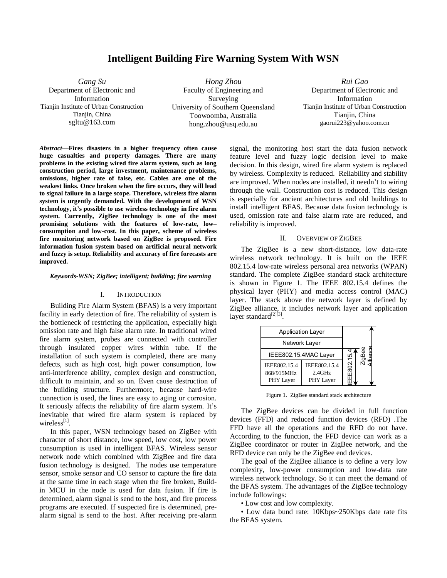# **Intelligent Building Fire Warning System With WSN**

*Gang Su* Department of Electronic and Information Tianjin Institute of Urban Construction Tianjin, China sgltu@163.com

*Hong Zhou* Faculty of Engineering and Surveying University of Southern Queensland Toowoomba, Australia [hong.zhou@usq.edu.a](mailto:hong.zhou@usq.edu.)u

*Rui Gao* Department of Electronic and Information Tianjin Institute of Urban Construction Tianjin, China gaorui223@yahoo.com.cn

*Abstract***—Fires disasters in a higher frequency often cause huge casualties and property damages. There are many problems in the existing wired fire alarm system, such as long construction period, large investment, maintenance problems, omissions, higher rate of false, etc. Cables are one of the weakest links. Once broken when the fire occurs, they will lead to signal failure in a large scope. Therefore, wireless fire alarm system is urgently demanded. With the development of WSN technology, it's possible to use wireless technology in fire alarm system. Currently, ZigBee technology is one of the most promising solutions with the features of low-rate, low– consumption and low-cost. In this paper, scheme of wireless fire monitoring network based on ZigBee is proposed. Fire information fusion system based on artificial neural network and fuzzy is setup. Reliability and accuracy of fire forecasts are improved.** 

# *Keywords-WSN; ZigBee; intelligent; building; fire warning*

#### I. INTRODUCTION

 Building Fire Alarm System (BFAS) is a very important facility in early detection of fire. The reliability of system is the bottleneck of restricting the application, especially high omission rate and high false alarm rate. In traditional wired fire alarm system, probes are connected with controller through insulated copper wires within tube. If the installation of such system is completed, there are many defects, such as high cost, high power consumption, low anti-interference ability, complex design and construction, difficult to maintain, and so on. Even cause destruction of the building structure. Furthermore, because hard-wire connection is used, the lines are easy to aging or corrosion. It seriously affects the reliability of fire alarm system. It's inevitable that wired fire alarm system is replaced by wireless<sup>[1]</sup>.

 In this paper, WSN technology based on ZigBee with character of short distance, low speed, low cost, low power consumption is used in intelligent BFAS. Wireless sensor network node which combined with ZigBee and fire data fusion technology is designed. The nodes use temperature sensor, smoke sensor and CO sensor to capture the fire data at the same time in each stage when the fire broken, Buildin MCU in the node is used for data fusion. If fire is determined, alarm signal is send to the host, and fire process programs are executed. If suspected fire is determined, prealarm signal is send to the host. After receiving pre-alarm

signal, the monitoring host start the data fusion network feature level and fuzzy logic decision level to make decision. In this design, wired fire alarm system is replaced by wireless. Complexity is reduced. Reliability and stability are improved. When nodes are installed, it needn't to wiring through the wall. Construction cost is reduced. This design is especially for ancient architectures and old buildings to install intelligent BFAS. Because data fusion technology is used, omission rate and false alarm rate are reduced, and reliability is improved.

#### II. OVERVIEW OF ZIGBEE

 The ZigBee is a new short-distance, low data-rate wireless network technology. It is built on the IEEE 802.15.4 low-rate wireless personal area networks (WPAN) standard. The complete ZigBee standard stack architecture is shown in Figure 1. The IEEE 802.15.4 defines the physical layer (PHY) and media access control (MAC) layer. The stack above the network layer is defined by ZigBee alliance, it includes network layer and application layer standard $^{[2][3]}$ .

| <b>Application Layer</b>                |                                        |       |           |
|-----------------------------------------|----------------------------------------|-------|-----------|
| Network Layer                           |                                        |       |           |
| IEEE802.15.4MAC Layer                   |                                        | نب    |           |
| IEEE802.15.4<br>868/915MHz<br>PHY Layer | IEEE802.15.4<br>$2.4$ GHz<br>PHY Layer | E802. | । ឆ្នាំ = |

Figure 1. ZigBee standard stack architecture

 The ZigBee devices can be divided in full function devices (FFD) and reduced function devices (RFD) .The FFD have all the operations and the RFD do not have. According to the function, the FFD device can work as a ZigBee coordinator or router in ZigBee network, and the RFD device can only be the ZigBee end devices.

 The goal of the ZigBee alliance is to define a very low complexity, low-power consumption and low-data rate wireless network technology. So it can meet the demand of the BFAS system. The advantages of the ZigBee technology include followings:

• Low cost and low complexity.

 • Low data bund rate: 10Kbps~250Kbps date rate fits the BFAS system.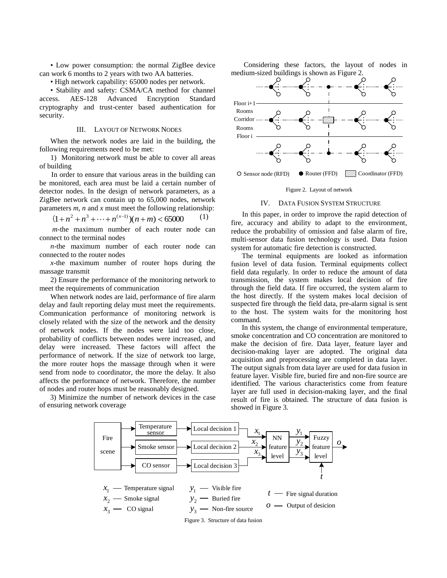• Low power consumption: the normal ZigBee device can work 6 months to 2 years with two AA batteries.

• High network capability: 65000 nodes per network.

 • Stability and safety: CSMA/CA method for channel access. AES-128 Advanced Encryption Standard cryptography and trust-center based authentication for security.

# III. LAYOUT OF NETWORK NODES

 When the network nodes are laid in the building, the following requirements need to be met:

 1) Monitoring network must be able to cover all areas of building

 In order to ensure that various areas in the building can be monitored, each area must be laid a certain number of detector nodes. In the design of network parameters, as a ZigBee network can contain up to 65,000 nodes, network parameters *m*, *n* and *x* must meet the following relationship:

$$
(1 + n2 + n3 + \dots + n(x-1))(n + m) < 65000
$$
 (1)

*m*-the maximum number of each router node can connect to the terminal nodes

 *n*-the maximum number of each router node can connected to the router nodes

 *x*-the maximum number of router hops during the massage transmit

 2) Ensure the performance of the monitoring network to meet the requirements of communication

 When network nodes are laid, performance of fire alarm delay and fault reporting delay must meet the requirements. Communication performance of monitoring network is closely related with the size of the network and the density of network nodes. If the nodes were laid too close, probability of conflicts between nodes were increased, and delay were increased. These factors will affect the performance of network. If the size of network too large, the more router hops the massage through when it were send from node to coordinator, the more the delay. It also affects the performance of network. Therefore, the number of nodes and router hops must be reasonably designed.

 3) Minimize the number of network devices in the case of ensuring network coverage

Considering these factors, the layout of nodes in medium-sized buildings is shown as Figure 2.



#### Figure 2. Layout of network

#### IV. DATA FUSION SYSTEM STRUCTURE

 In this paper, in order to improve the rapid detection of fire, accuracy and ability to adapt to the environment, reduce the probability of omission and false alarm of fire, multi-sensor data fusion technology is used. Data fusion system for automatic fire detection is constructed.

 The terminal equipments are looked as information fusion level of data fusion. Terminal equipments collect field data regularly. In order to reduce the amount of data transmission, the system makes local decision of fire through the field data. If fire occurred, the system alarm to the host directly. If the system makes local decision of suspected fire through the field data, pre-alarm signal is sent to the host. The system waits for the monitoring host command.

 In this system, the change of environmental temperature, smoke concentration and CO concentration are monitored to make the decision of fire. Data layer, feature layer and decision-making layer are adopted. The original data acquisition and preprocessing are completed in data layer. The output signals from data layer are used for data fusion in feature layer. Visible fire, buried fire and non-fire source are identified. The various characteristics come from feature layer are full used in decision-making layer, and the final result of fire is obtained. The structure of data fusion is showed in Figure 3.

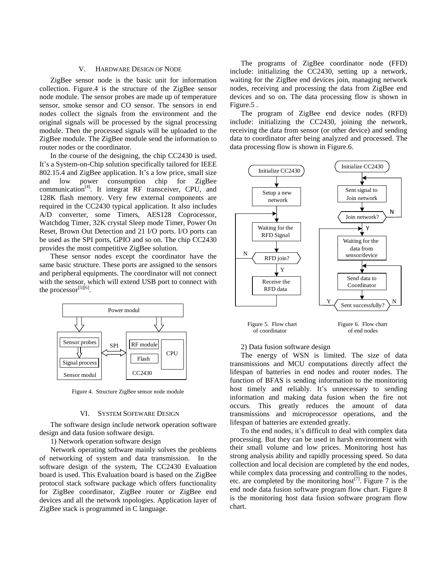## V. HARDWARE DESIGN OF NODE

 ZigBee sensor node is the basic unit for information collection. Figure.4 is the structure of the ZigBee sensor node module. The sensor probes are made up of temperature sensor, smoke sensor and CO sensor. The sensors in end nodes collect the signals from the environment and the original signals will be processed by the signal processing module. Then the processed signals will be uploaded to the ZigBee module. The ZigBee module send the information to router nodes or the coordinator.

In the course of the designing, the chip CC2430 is used. It's a System-on-Chip solution specifically tailored for IEEE 802.15.4 and ZigBee application. It's a low price, small size and low power consumption chip for ZigBee communication<sup>[4]</sup>. It integrat RF transceiver, CPU, and 128K flash memory. Very few external components are required in the CC2430 typical application. It also includes A/D converter, some Timers, AES128 Coprocessor, Watchdog Timer, 32K crystal Sleep mode Timer, Power On Reset, Brown Out Detection and 21 I/O ports. I/O ports can be used as the SPI ports, GPIO and so on. The chip CC2430 provides the most competitive ZigBee solution.

These sensor nodes except the coordinator have the same basic structure. These ports are assigned to the sensors and peripheral equipments. The coordinator will not connect with the sensor, which will extend USB port to connect with the processor $^{[5][6]}$ .



Figure 4. Structure ZigBee sensor node module

#### VI. SYSTEM SOFEWARE DESIGN

 The software design include network operation software design and data fusion software design.

1) Network operation software design

 Network operating software mainly solves the problems of networking of system and data transmission. In the software design of the system, The CC2430 Evaluation board is used. This Evaluation board is based on the ZigBee protocol stack software package which offers functionality for ZigBee coordinator, ZigBee router or ZigBee end devices and all the network topologies. Application layer of ZigBee stack is programmed in C language.

 The programs of ZigBee coordinator node (FFD) include: initializing the CC2430, setting up a network, waiting for the ZigBee end devices join, managing network nodes, receiving and processing the data from ZigBee end devices and so on. The data processing flow is shown in Figure.5 .

 The program of ZigBee end device nodes (RFD) include: initializing the CC2430, joining the network, receiving the data from sensor (or other device) and sending data to coordinator after being analyzed and processed. The data processing flow is shown in Figure.6.



#### 2) Data fusion software design

 The energy of WSN is limited. The size of data transmissions and MCU computations directly affect the lifespan of batteries in end nodes and router nodes. The function of BFAS is sending information to the monitoring host timely and reliably. It's unnecessary to sending information and making data fusion when the fire not occurs. This greatly reduces the amount of data transmissions and microprocessor operations, and the lifespan of batteries are extended greatly.

 To the end nodes, it's difficult to deal with complex data processing. But they can be used in harsh environment with their small volume and low prices. Monitoring host has strong analysis ability and rapidly processing speed. So data collection and local decision are completed by the end nodes, while complex data processing and controlling to the nodes, etc. are completed by the monitoring host<sup>[7]</sup>. Figure 7 is the end node data fusion software program flow chart. Figure 8 is the monitoring host data fusion software program flow chart.